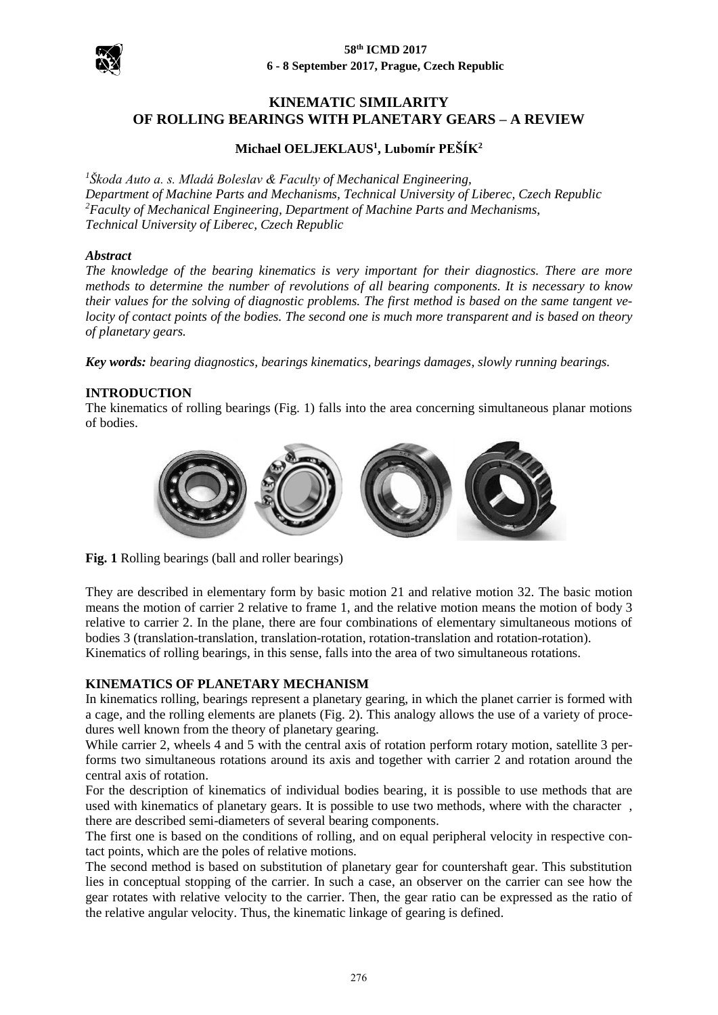

# **KINEMATIC SIMILARITY OF ROLLING BEARINGS WITH PLANETARY GEARS – A REVIEW**

# **Michael OELJEKLAUS<sup>1</sup> , Lubomír PEŠÍK<sup>2</sup>**

*1 Škoda Auto a. s. Mladá Boleslav & Faculty of Mechanical Engineering, Department of Machine Parts and Mechanisms, Technical University of Liberec, Czech Republic <sup>2</sup>Faculty of Mechanical Engineering, Department of Machine Parts and Mechanisms, Technical University of Liberec, Czech Republic*

### *Abstract*

*The knowledge of the bearing kinematics is very important for their diagnostics. There are more methods to determine the number of revolutions of all bearing components. It is necessary to know their values for the solving of diagnostic problems. The first method is based on the same tangent velocity of contact points of the bodies. The second one is much more transparent and is based on theory of planetary gears.*

*Key words: bearing diagnostics, bearings kinematics, bearings damages, slowly running bearings.*

### **INTRODUCTION**

The kinematics of rolling bearings (Fig. 1) falls into the area concerning simultaneous planar motions of bodies.



**Fig. 1** Rolling bearings (ball and roller bearings)

They are described in elementary form by basic motion 21 and relative motion 32. The basic motion means the motion of carrier 2 relative to frame 1, and the relative motion means the motion of body 3 relative to carrier 2. In the plane, there are four combinations of elementary simultaneous motions of bodies 3 (translation-translation, translation-rotation, rotation-translation and rotation-rotation). Kinematics of rolling bearings, in this sense, falls into the area of two simultaneous rotations.

### **KINEMATICS OF PLANETARY MECHANISM**

In kinematics rolling, bearings represent a planetary gearing, in which the planet carrier is formed with a cage, and the rolling elements are planets (Fig. 2). This analogy allows the use of a variety of procedures well known from the theory of planetary gearing.

While carrier 2, wheels 4 and 5 with the central axis of rotation perform rotary motion, satellite 3 performs two simultaneous rotations around its axis and together with carrier 2 and rotation around the central axis of rotation.

For the description of kinematics of individual bodies bearing, it is possible to use methods that are used with kinematics of planetary gears. It is possible to use two methods, where with the character , there are described semi-diameters of several bearing components.

The first one is based on the conditions of rolling, and on equal peripheral velocity in respective contact points, which are the poles of relative motions.

The second method is based on substitution of planetary gear for countershaft gear. This substitution lies in conceptual stopping of the carrier. In such a case, an observer on the carrier can see how the gear rotates with relative velocity to the carrier. Then, the gear ratio can be expressed as the ratio of the relative angular velocity. Thus, the kinematic linkage of gearing is defined.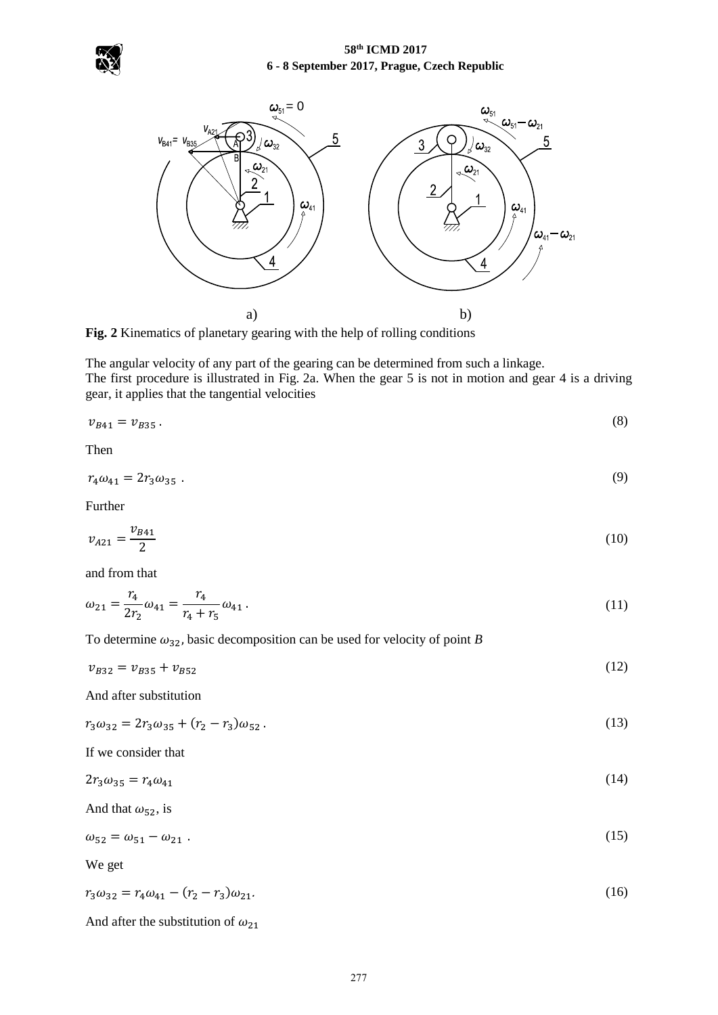## **58th ICMD 2017 6 - 8 September 2017, Prague, Czech Republic**





**Fig. 2** Kinematics of planetary gearing with the help of rolling conditions

The angular velocity of any part of the gearing can be determined from such a linkage. The first procedure is illustrated in Fig. 2a. When the gear 5 is not in motion and gear 4 is a driving gear, it applies that the tangential velocities

$$
v_{B41} = v_{B35} \,. \tag{8}
$$

Then

$$
r_4\omega_{41} = 2r_3\omega_{35} \tag{9}
$$

Further

$$
v_{A21} = \frac{v_{B41}}{2} \tag{10}
$$

and from that

$$
\omega_{21} = \frac{r_4}{2r_2}\omega_{41} = \frac{r_4}{r_4 + r_5}\omega_{41} \,. \tag{11}
$$

To determine  $\omega_{32}$ , basic decomposition can be used for velocity of point *B* 

 $v_{B32} = v_{B35} + v_{B52}$  (12)

And after substitution

 $r_3\omega_{32} = 2r_3\omega_{35} + (r_2 - r_3)\omega_{52}$ .  $\int \omega_{52}$ . (13)

If we consider that

| $2r_3\omega_{35} = r_4\omega_{41}$ | (14) |
|------------------------------------|------|
|------------------------------------|------|

And that  $\omega_{52}$ , is

$$
\omega_{52} = \omega_{51} - \omega_{21} \tag{15}
$$

We get

$$
r_3\omega_{32} = r_4\omega_{41} - (r_2 - r_3)\omega_{21}.\tag{16}
$$

And after the substitution of  $\omega_{21}$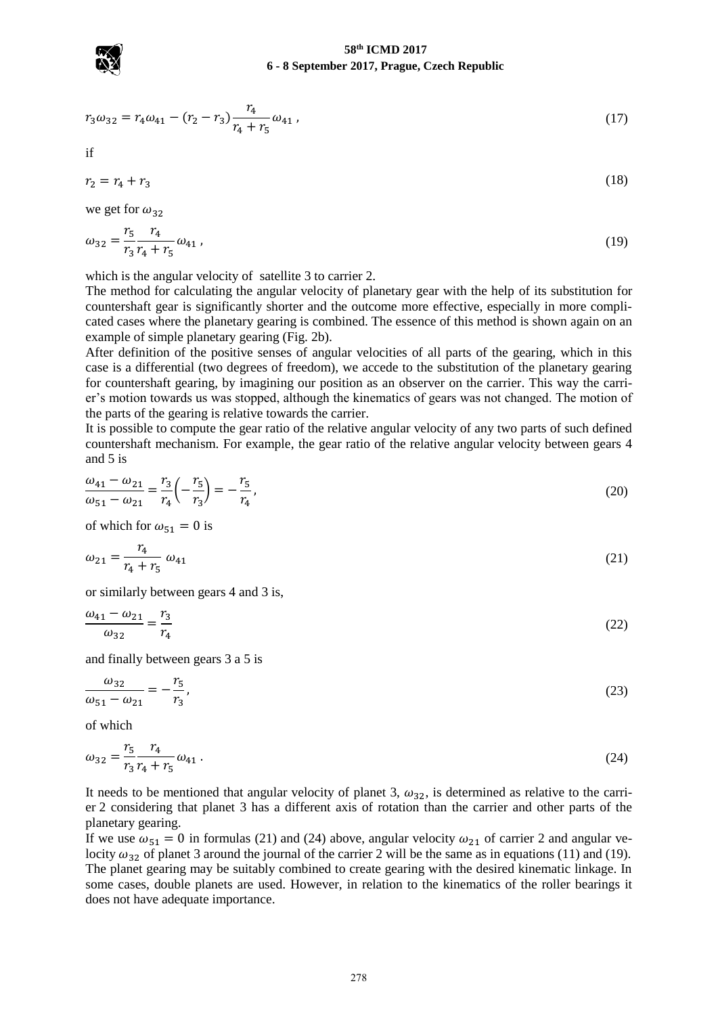

#### **58th ICMD 2017 6 - 8 September 2017, Prague, Czech Republic**

$$
r_3\omega_{32} = r_4\omega_{41} - (r_2 - r_3)\frac{r_4}{r_4 + r_5}\omega_{41},\tag{17}
$$

if

$$
r_2 = r_4 + r_3 \tag{18}
$$

we get for  $\omega_{32}$ 

$$
\omega_{32} = \frac{r_5}{r_3} \frac{r_4}{r_4 + r_5} \omega_{41} \,, \tag{19}
$$

which is the angular velocity of satellite 3 to carrier 2.

The method for calculating the angular velocity of planetary gear with the help of its substitution for countershaft gear is significantly shorter and the outcome more effective, especially in more complicated cases where the planetary gearing is combined. The essence of this method is shown again on an example of simple planetary gearing (Fig. 2b).

After definition of the positive senses of angular velocities of all parts of the gearing, which in this case is a differential (two degrees of freedom), we accede to the substitution of the planetary gearing for countershaft gearing, by imagining our position as an observer on the carrier. This way the carrier's motion towards us was stopped, although the kinematics of gears was not changed. The motion of the parts of the gearing is relative towards the carrier.

It is possible to compute the gear ratio of the relative angular velocity of any two parts of such defined countershaft mechanism. For example, the gear ratio of the relative angular velocity between gears 4 and 5 is

$$
\frac{\omega_{41} - \omega_{21}}{\omega_{51} - \omega_{21}} = \frac{r_3}{r_4} \left( -\frac{r_5}{r_3} \right) = -\frac{r_5}{r_4},\tag{20}
$$

of which for  $\omega_{51} = 0$  is

$$
\omega_{21} = \frac{r_4}{r_4 + r_5} \omega_{41} \tag{21}
$$

or similarly between gears 4 and 3 is,

$$
\frac{\omega_{41} - \omega_{21}}{\omega_{32}} = \frac{r_3}{r_4} \tag{22}
$$

and finally between gears 3 a 5 is

 $\omega_{32}$  $\frac{\omega_{32}}{\omega_{51} - \omega_{21}} = -\frac{r_5}{r_3}$  $r<sub>3</sub>$ ,  $(23)$ 

of which

$$
\omega_{32} = \frac{r_5}{r_3} \frac{r_4}{r_4 + r_5} \omega_{41} \,. \tag{24}
$$

It needs to be mentioned that angular velocity of planet 3,  $\omega_{32}$ , is determined as relative to the carrier 2 considering that planet 3 has a different axis of rotation than the carrier and other parts of the planetary gearing.

If we use  $\omega_{51} = 0$  in formulas (21) and (24) above, angular velocity  $\omega_{21}$  of carrier 2 and angular velocity  $\omega_{32}$  of planet 3 around the journal of the carrier 2 will be the same as in equations (11) and (19). The planet gearing may be suitably combined to create gearing with the desired kinematic linkage. In some cases, double planets are used. However, in relation to the kinematics of the roller bearings it does not have adequate importance.